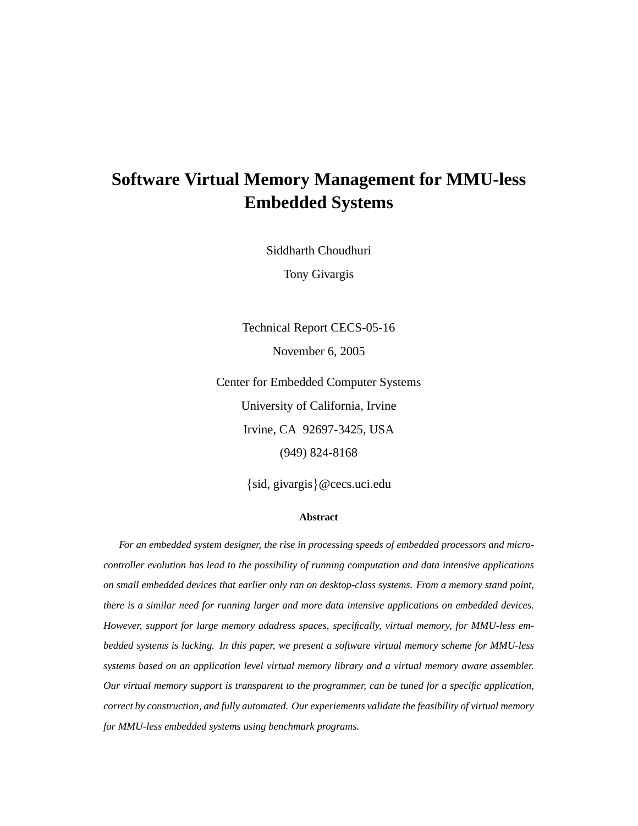## **Software Virtual Memory Management for MMU-less Embedded Systems**

Siddharth Choudhuri

Tony Givargis

Technical Report CECS-05-16 November 6, 2005

Center for Embedded Computer Systems University of California, Irvine Irvine, CA 92697-3425, USA (949) 824-8168

{sid, givargis}@cecs.uci.edu

#### **Abstract**

*For an embedded system designer, the rise in processing speeds of embedded processors and microcontroller evolution has lead to the possibility of running computation and data intensive applications on small embedded devices that earlier only ran on desktop-class systems. From a memory stand point, there is a similar need for running larger and more data intensive applications on embedded devices. However, support for large memory adadress spaces, specifically, virtual memory, for MMU-less embedded systems is lacking. In this paper, we present a software virtual memory scheme for MMU-less systems based on an application level virtual memory library and a virtual memory aware assembler. Our virtual memory support is transparent to the programmer, can be tuned for a specific application, correct by construction, and fully automated. Our experiements validate the feasibility of virtual memory for MMU-less embedded systems using benchmark programs.*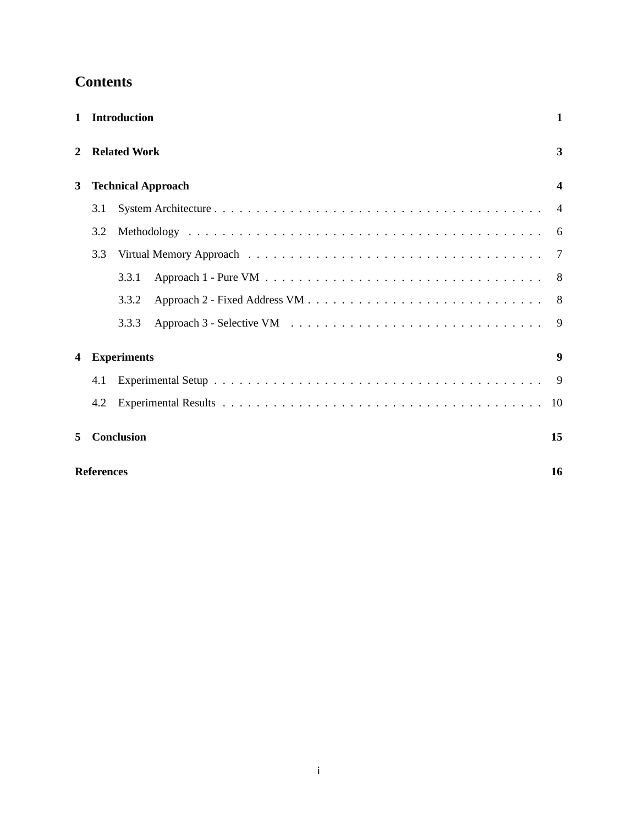## **Contents**

| $\mathbf{1}$ |                   | Introduction        |                           | 1                |
|--------------|-------------------|---------------------|---------------------------|------------------|
| 2            |                   | <b>Related Work</b> |                           | $\mathbf{3}$     |
| 3            |                   |                     | <b>Technical Approach</b> | $\boldsymbol{4}$ |
|              | 3.1               |                     |                           | $\overline{4}$   |
|              | 3.2               |                     |                           | 6                |
|              | 3.3               |                     |                           | 7                |
|              |                   | 3.3.1               |                           | 8                |
|              |                   | 3.3.2               |                           | 8                |
|              |                   | 3.3.3               |                           | 9                |
| 4            |                   | <b>Experiments</b>  |                           | $\boldsymbol{9}$ |
|              | 4.1               |                     |                           | 9                |
|              | 4.2               |                     |                           | 10               |
| 5            |                   | <b>Conclusion</b>   |                           | 15               |
|              | <b>References</b> |                     |                           | 16               |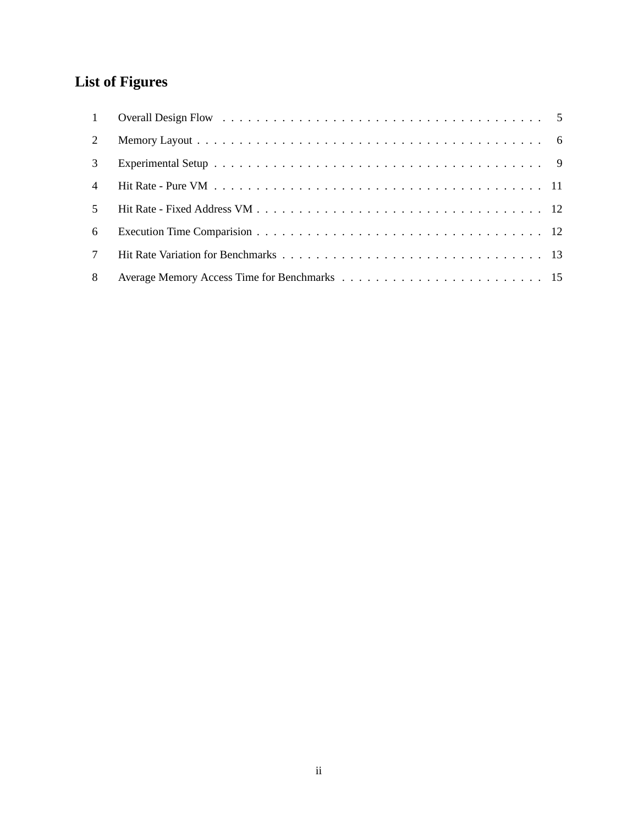# **List of Figures**

| $\mathbf{1}$    |  |
|-----------------|--|
| 2               |  |
| 3               |  |
| $\overline{4}$  |  |
| 5               |  |
| 6               |  |
| $7\phantom{.0}$ |  |
| 8               |  |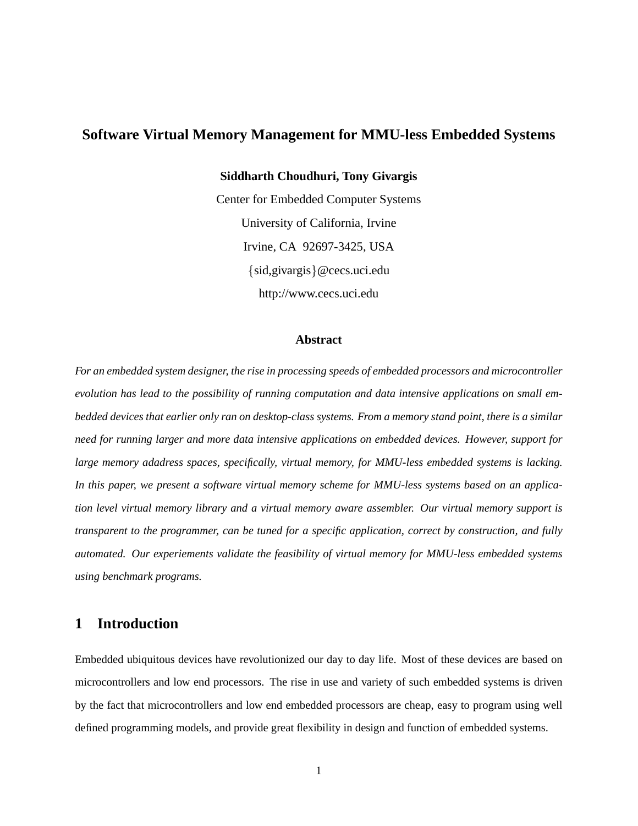## **Software Virtual Memory Management for MMU-less Embedded Systems**

**Siddharth Choudhuri, Tony Givargis**

Center for Embedded Computer Systems University of California, Irvine Irvine, CA 92697-3425, USA {sid,givargis}@cecs.uci.edu http://www.cecs.uci.edu

#### **Abstract**

*For an embedded system designer, the rise in processing speeds of embedded processors and microcontroller evolution has lead to the possibility of running computation and data intensive applications on small embedded devices that earlier only ran on desktop-class systems. From a memory stand point, there is a similar need for running larger and more data intensive applications on embedded devices. However, support for large memory adadress spaces, specifically, virtual memory, for MMU-less embedded systems is lacking. In this paper, we present a software virtual memory scheme for MMU-less systems based on an application level virtual memory library and a virtual memory aware assembler. Our virtual memory support is transparent to the programmer, can be tuned for a specific application, correct by construction, and fully automated. Our experiements validate the feasibility of virtual memory for MMU-less embedded systems using benchmark programs.*

## **1 Introduction**

Embedded ubiquitous devices have revolutionized our day to day life. Most of these devices are based on microcontrollers and low end processors. The rise in use and variety of such embedded systems is driven by the fact that microcontrollers and low end embedded processors are cheap, easy to program using well defined programming models, and provide great flexibility in design and function of embedded systems.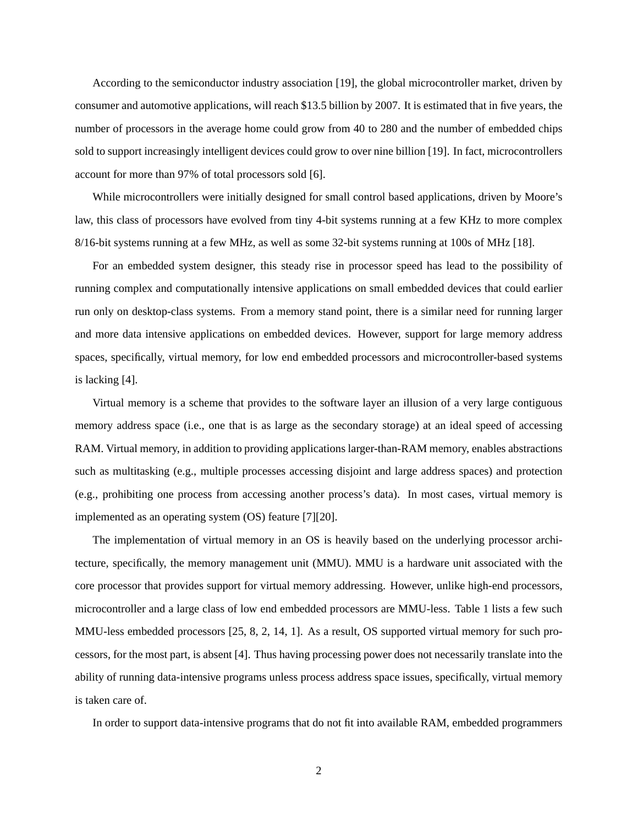According to the semiconductor industry association [19], the global microcontroller market, driven by consumer and automotive applications, will reach \$13.5 billion by 2007. It is estimated that in five years, the number of processors in the average home could grow from 40 to 280 and the number of embedded chips sold to support increasingly intelligent devices could grow to over nine billion [19]. In fact, microcontrollers account for more than 97% of total processors sold [6].

While microcontrollers were initially designed for small control based applications, driven by Moore's law, this class of processors have evolved from tiny 4-bit systems running at a few KHz to more complex 8/16-bit systems running at a few MHz, as well as some 32-bit systems running at 100s of MHz [18].

For an embedded system designer, this steady rise in processor speed has lead to the possibility of running complex and computationally intensive applications on small embedded devices that could earlier run only on desktop-class systems. From a memory stand point, there is a similar need for running larger and more data intensive applications on embedded devices. However, support for large memory address spaces, specifically, virtual memory, for low end embedded processors and microcontroller-based systems is lacking [4].

Virtual memory is a scheme that provides to the software layer an illusion of a very large contiguous memory address space (i.e., one that is as large as the secondary storage) at an ideal speed of accessing RAM. Virtual memory, in addition to providing applications larger-than-RAM memory, enables abstractions such as multitasking (e.g., multiple processes accessing disjoint and large address spaces) and protection (e.g., prohibiting one process from accessing another process's data). In most cases, virtual memory is implemented as an operating system (OS) feature [7][20].

The implementation of virtual memory in an OS is heavily based on the underlying processor architecture, specifically, the memory management unit (MMU). MMU is a hardware unit associated with the core processor that provides support for virtual memory addressing. However, unlike high-end processors, microcontroller and a large class of low end embedded processors are MMU-less. Table 1 lists a few such MMU-less embedded processors [25, 8, 2, 14, 1]. As a result, OS supported virtual memory for such processors, for the most part, is absent [4]. Thus having processing power does not necessarily translate into the ability of running data-intensive programs unless process address space issues, specifically, virtual memory is taken care of.

In order to support data-intensive programs that do not fit into available RAM, embedded programmers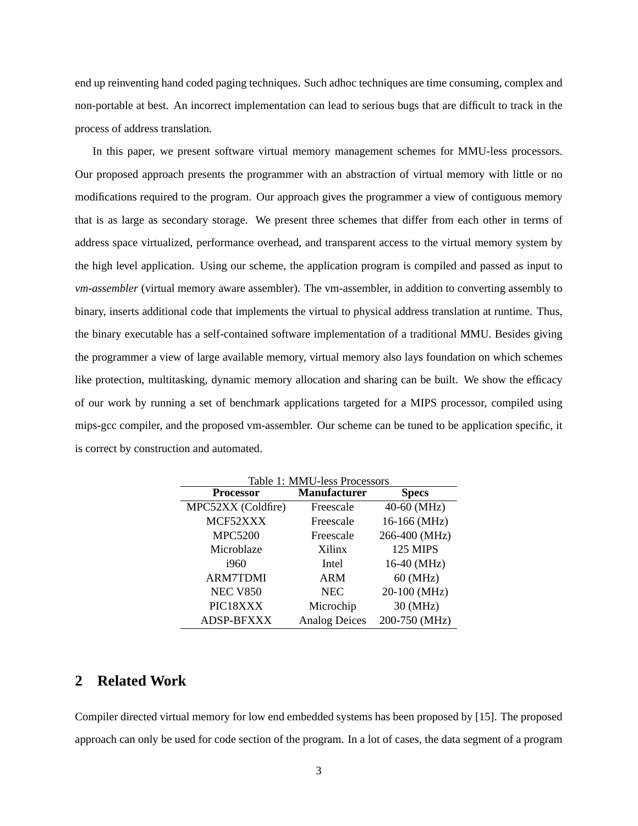end up reinventing hand coded paging techniques. Such adhoc techniques are time consuming, complex and non-portable at best. An incorrect implementation can lead to serious bugs that are difficult to track in the process of address translation.

In this paper, we present software virtual memory management schemes for MMU-less processors. Our proposed approach presents the programmer with an abstraction of virtual memory with little or no modifications required to the program. Our approach gives the programmer a view of contiguous memory that is as large as secondary storage. We present three schemes that differ from each other in terms of address space virtualized, performance overhead, and transparent access to the virtual memory system by the high level application. Using our scheme, the application program is compiled and passed as input to *vm-assembler* (virtual memory aware assembler). The vm-assembler, in addition to converting assembly to binary, inserts additional code that implements the virtual to physical address translation at runtime. Thus, the binary executable has a self-contained software implementation of a traditional MMU. Besides giving the programmer a view of large available memory, virtual memory also lays foundation on which schemes like protection, multitasking, dynamic memory allocation and sharing can be built. We show the efficacy of our work by running a set of benchmark applications targeted for a MIPS processor, compiled using mips-gcc compiler, and the proposed vm-assembler. Our scheme can be tuned to be application specific, it is correct by construction and automated.

| Table 1: MMU-less Processors |                      |                 |  |  |  |
|------------------------------|----------------------|-----------------|--|--|--|
| <b>Processor</b>             | <b>Manufacturer</b>  | <b>Specs</b>    |  |  |  |
| MPC52XX (Coldfire)           | Freescale            | 40-60 (MHz)     |  |  |  |
| MCF52XXX                     | Freescale            | 16-166 (MHz)    |  |  |  |
| <b>MPC5200</b>               | Freescale            | 266-400 (MHz)   |  |  |  |
| Microblaze                   | Xilinx               | <b>125 MIPS</b> |  |  |  |
| 1960                         | Intel                | 16-40 (MHz)     |  |  |  |
| <b>ARM7TDMI</b>              | <b>ARM</b>           | 60 (MHz)        |  |  |  |
| <b>NEC V850</b>              | <b>NEC</b>           | 20-100 (MHz)    |  |  |  |
| PIC18XXX                     | Microchip            | 30 (MHz)        |  |  |  |
| <b>ADSP-BFXXX</b>            | <b>Analog Deices</b> | 200-750 (MHz)   |  |  |  |

### **2 Related Work**

Compiler directed virtual memory for low end embedded systems has been proposed by [15]. The proposed approach can only be used for code section of the program. In a lot of cases, the data segment of a program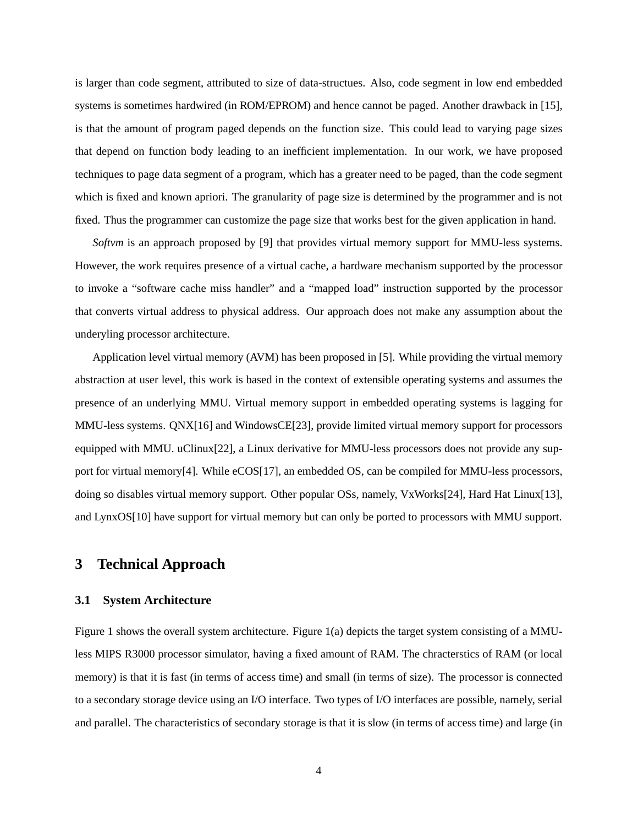is larger than code segment, attributed to size of data-structues. Also, code segment in low end embedded systems is sometimes hardwired (in ROM/EPROM) and hence cannot be paged. Another drawback in [15], is that the amount of program paged depends on the function size. This could lead to varying page sizes that depend on function body leading to an inefficient implementation. In our work, we have proposed techniques to page data segment of a program, which has a greater need to be paged, than the code segment which is fixed and known apriori. The granularity of page size is determined by the programmer and is not fixed. Thus the programmer can customize the page size that works best for the given application in hand.

*Softvm* is an approach proposed by [9] that provides virtual memory support for MMU-less systems. However, the work requires presence of a virtual cache, a hardware mechanism supported by the processor to invoke a "software cache miss handler" and a "mapped load" instruction supported by the processor that converts virtual address to physical address. Our approach does not make any assumption about the underyling processor architecture.

Application level virtual memory (AVM) has been proposed in [5]. While providing the virtual memory abstraction at user level, this work is based in the context of extensible operating systems and assumes the presence of an underlying MMU. Virtual memory support in embedded operating systems is lagging for MMU-less systems. QNX[16] and WindowsCE[23], provide limited virtual memory support for processors equipped with MMU. uClinux[22], a Linux derivative for MMU-less processors does not provide any support for virtual memory[4]. While eCOS[17], an embedded OS, can be compiled for MMU-less processors, doing so disables virtual memory support. Other popular OSs, namely, VxWorks[24], Hard Hat Linux[13], and LynxOS[10] have support for virtual memory but can only be ported to processors with MMU support.

## **3 Technical Approach**

#### **3.1 System Architecture**

Figure 1 shows the overall system architecture. Figure 1(a) depicts the target system consisting of a MMUless MIPS R3000 processor simulator, having a fixed amount of RAM. The chracterstics of RAM (or local memory) is that it is fast (in terms of access time) and small (in terms of size). The processor is connected to a secondary storage device using an I/O interface. Two types of I/O interfaces are possible, namely, serial and parallel. The characteristics of secondary storage is that it is slow (in terms of access time) and large (in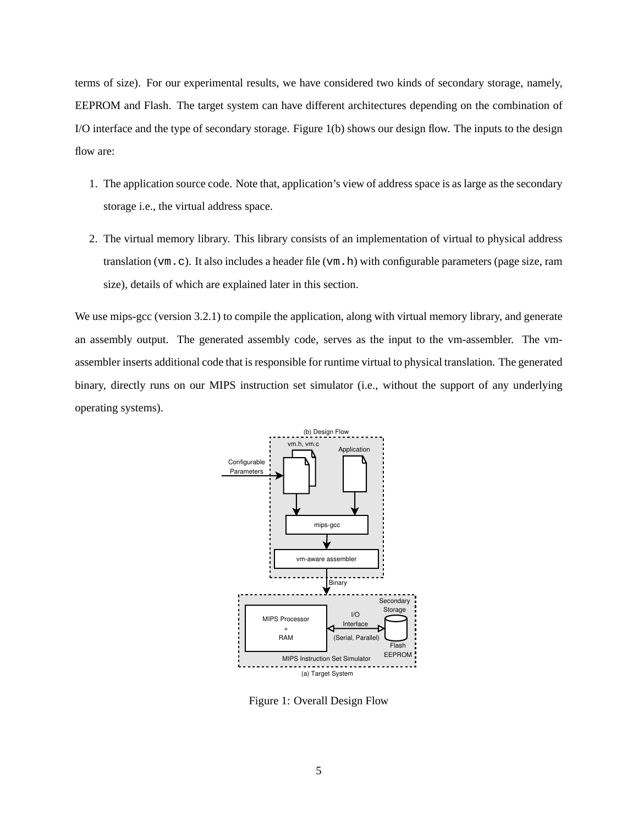terms of size). For our experimental results, we have considered two kinds of secondary storage, namely, EEPROM and Flash. The target system can have different architectures depending on the combination of I/O interface and the type of secondary storage. Figure 1(b) shows our design flow. The inputs to the design flow are:

- 1. The application source code. Note that, application's view of address space is as large as the secondary storage i.e., the virtual address space.
- 2. The virtual memory library. This library consists of an implementation of virtual to physical address translation ( $vm$ , c). It also includes a header file ( $vm$ , h) with configurable parameters (page size, ram size), details of which are explained later in this section.

We use mips-gcc (version 3.2.1) to compile the application, along with virtual memory library, and generate an assembly output. The generated assembly code, serves as the input to the vm-assembler. The vmassembler inserts additional code that is responsible for runtime virtual to physical translation. The generated binary, directly runs on our MIPS instruction set simulator (i.e., without the support of any underlying operating systems).



Figure 1: Overall Design Flow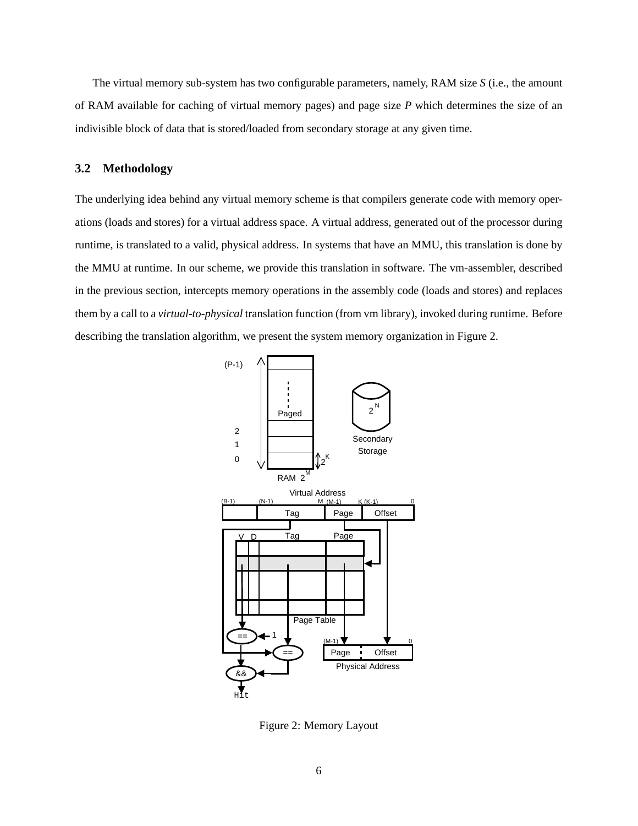The virtual memory sub-system has two configurable parameters, namely, RAM size *S* (i.e., the amount of RAM available for caching of virtual memory pages) and page size *P* which determines the size of an indivisible block of data that is stored/loaded from secondary storage at any given time.

#### **3.2 Methodology**

The underlying idea behind any virtual memory scheme is that compilers generate code with memory operations (loads and stores) for a virtual address space. A virtual address, generated out of the processor during runtime, is translated to a valid, physical address. In systems that have an MMU, this translation is done by the MMU at runtime. In our scheme, we provide this translation in software. The vm-assembler, described in the previous section, intercepts memory operations in the assembly code (loads and stores) and replaces them by a call to a *virtual-to-physical* translation function (from vm library), invoked during runtime. Before describing the translation algorithm, we present the system memory organization in Figure 2.



Figure 2: Memory Layout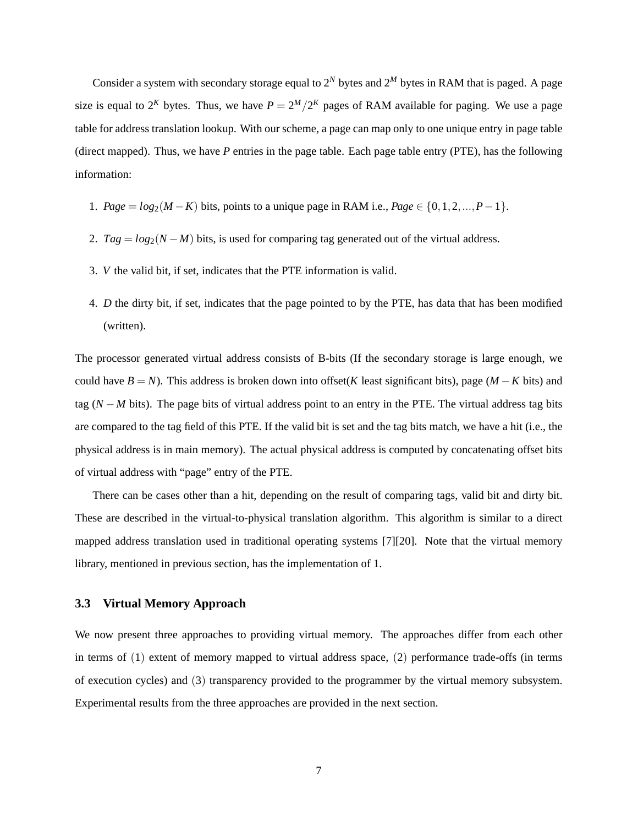Consider a system with secondary storage equal to  $2^N$  bytes and  $2^M$  bytes in RAM that is paged. A page size is equal to  $2^{K}$  bytes. Thus, we have  $P = 2^{M}/2^{K}$  pages of RAM available for paging. We use a page table for address translation lookup. With our scheme, a page can map only to one unique entry in page table (direct mapped). Thus, we have *P* entries in the page table. Each page table entry (PTE), has the following information:

- 1. *Page* =  $log_2(M K)$  bits, points to a unique page in RAM i.e., *Page*  $\in \{0, 1, 2, ..., P 1\}$ .
- 2. *Tag* = *log*<sub>2</sub>(*N* − *M*) bits, is used for comparing tag generated out of the virtual address.
- 3. *V* the valid bit, if set, indicates that the PTE information is valid.
- 4. *D* the dirty bit, if set, indicates that the page pointed to by the PTE, has data that has been modified (written).

The processor generated virtual address consists of B-bits (If the secondary storage is large enough, we could have  $B = N$ ). This address is broken down into offset(*K* least significant bits), page ( $M - K$  bits) and tag (*N* − *M* bits). The page bits of virtual address point to an entry in the PTE. The virtual address tag bits are compared to the tag field of this PTE. If the valid bit is set and the tag bits match, we have a hit (i.e., the physical address is in main memory). The actual physical address is computed by concatenating offset bits of virtual address with "page" entry of the PTE.

There can be cases other than a hit, depending on the result of comparing tags, valid bit and dirty bit. These are described in the virtual-to-physical translation algorithm. This algorithm is similar to a direct mapped address translation used in traditional operating systems [7][20]. Note that the virtual memory library, mentioned in previous section, has the implementation of 1.

#### **3.3 Virtual Memory Approach**

We now present three approaches to providing virtual memory. The approaches differ from each other in terms of (1) extent of memory mapped to virtual address space, (2) performance trade-offs (in terms of execution cycles) and (3) transparency provided to the programmer by the virtual memory subsystem. Experimental results from the three approaches are provided in the next section.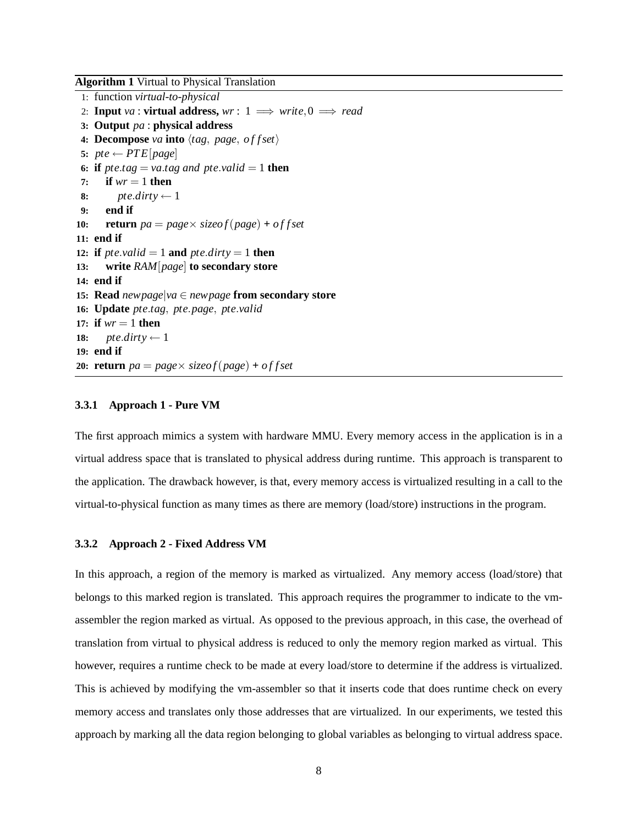**Algorithm 1** Virtual to Physical Translation

```
1: function virtual-to-physical
 2: Input va : virtual address, wr: 1 \implies write, 0 \implies read3: Output pa : physical address
 4: Decompose va into \langle tag, page, offset \rangle5: pte \leftarrow PTE[page]6: if \textit{pt}e.\textit{tag} = \textit{val} = \textit{td} \textit{at} = 1 then
 7: if wr = 1 then
 8: pte.dirty \leftarrow 1
 9: end if
10: return pa = page \times sizeof(page) + of fset11: end if
12: if pt{e.valid = 1 and pt{e}.dirty = 1 then
13: write RAM[page] to secondary store
14: end if
15: Read newpage|va ∈ newpage from secondary store
16: Update pte.tag, pte.page, pte.valid
17: if wr = 1 then
18: pte.dirty \leftarrow 1
19: end if
20: return pa = page \times sizeof(page) + offset
```
#### **3.3.1 Approach 1 - Pure VM**

The first approach mimics a system with hardware MMU. Every memory access in the application is in a virtual address space that is translated to physical address during runtime. This approach is transparent to the application. The drawback however, is that, every memory access is virtualized resulting in a call to the virtual-to-physical function as many times as there are memory (load/store) instructions in the program.

#### **3.3.2 Approach 2 - Fixed Address VM**

In this approach, a region of the memory is marked as virtualized. Any memory access (load/store) that belongs to this marked region is translated. This approach requires the programmer to indicate to the vmassembler the region marked as virtual. As opposed to the previous approach, in this case, the overhead of translation from virtual to physical address is reduced to only the memory region marked as virtual. This however, requires a runtime check to be made at every load/store to determine if the address is virtualized. This is achieved by modifying the vm-assembler so that it inserts code that does runtime check on every memory access and translates only those addresses that are virtualized. In our experiments, we tested this approach by marking all the data region belonging to global variables as belonging to virtual address space.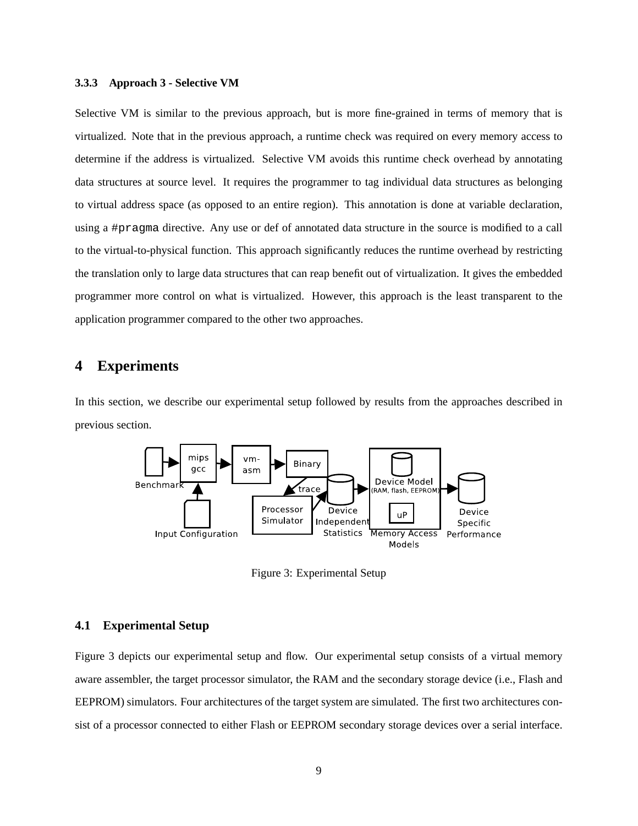#### **3.3.3 Approach 3 - Selective VM**

Selective VM is similar to the previous approach, but is more fine-grained in terms of memory that is virtualized. Note that in the previous approach, a runtime check was required on every memory access to determine if the address is virtualized. Selective VM avoids this runtime check overhead by annotating data structures at source level. It requires the programmer to tag individual data structures as belonging to virtual address space (as opposed to an entire region). This annotation is done at variable declaration, using a #pragma directive. Any use or def of annotated data structure in the source is modified to a call to the virtual-to-physical function. This approach significantly reduces the runtime overhead by restricting the translation only to large data structures that can reap benefit out of virtualization. It gives the embedded programmer more control on what is virtualized. However, this approach is the least transparent to the application programmer compared to the other two approaches.

## **4 Experiments**

In this section, we describe our experimental setup followed by results from the approaches described in previous section.



Figure 3: Experimental Setup

#### **4.1 Experimental Setup**

Figure 3 depicts our experimental setup and flow. Our experimental setup consists of a virtual memory aware assembler, the target processor simulator, the RAM and the secondary storage device (i.e., Flash and EEPROM) simulators. Four architectures of the target system are simulated. The first two architectures consist of a processor connected to either Flash or EEPROM secondary storage devices over a serial interface.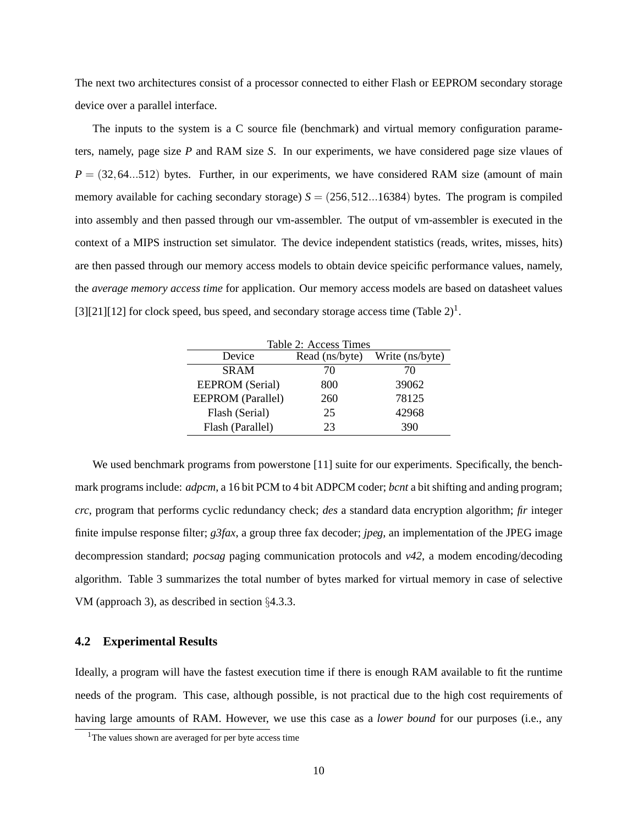The next two architectures consist of a processor connected to either Flash or EEPROM secondary storage device over a parallel interface.

The inputs to the system is a C source file (benchmark) and virtual memory configuration parameters, namely, page size *P* and RAM size *S*. In our experiments, we have considered page size vlaues of  $P = (32, 64, . .512)$  bytes. Further, in our experiments, we have considered RAM size (amount of main memory available for caching secondary storage)  $S = (256, 512...16384)$  bytes. The program is compiled into assembly and then passed through our vm-assembler. The output of vm-assembler is executed in the context of a MIPS instruction set simulator. The device independent statistics (reads, writes, misses, hits) are then passed through our memory access models to obtain device speicific performance values, namely, the *average memory access time* for application. Our memory access models are based on datasheet values [3][21][12] for clock speed, bus speed, and secondary storage access time (Table  $2)^{1}$ .

| Table 2: Access Times    |                |                 |  |  |  |  |
|--------------------------|----------------|-----------------|--|--|--|--|
| Device                   | Read (ns/byte) | Write (ns/byte) |  |  |  |  |
| <b>SRAM</b>              | 70             | 70              |  |  |  |  |
| <b>EEPROM</b> (Serial)   | 800            | 39062           |  |  |  |  |
| <b>EEPROM</b> (Parallel) | 260            | 78125           |  |  |  |  |
| Flash (Serial)           | 25             | 42968           |  |  |  |  |
| Flash (Parallel)         | 23             | 390             |  |  |  |  |

We used benchmark programs from powerstone [11] suite for our experiments. Specifically, the benchmark programs include: *adpcm*, a 16 bit PCM to 4 bit ADPCM coder; *bcnt* a bit shifting and anding program; *crc*, program that performs cyclic redundancy check; *des* a standard data encryption algorithm; *fir* integer finite impulse response filter; *g3fax*, a group three fax decoder; *jpeg*, an implementation of the JPEG image decompression standard; *pocsag* paging communication protocols and *v42*, a modem encoding/decoding algorithm. Table 3 summarizes the total number of bytes marked for virtual memory in case of selective VM (approach 3), as described in section §4.3.3.

#### **4.2 Experimental Results**

Ideally, a program will have the fastest execution time if there is enough RAM available to fit the runtime needs of the program. This case, although possible, is not practical due to the high cost requirements of having large amounts of RAM. However, we use this case as a *lower bound* for our purposes (i.e., any

<sup>&</sup>lt;sup>1</sup>The values shown are averaged for per byte access time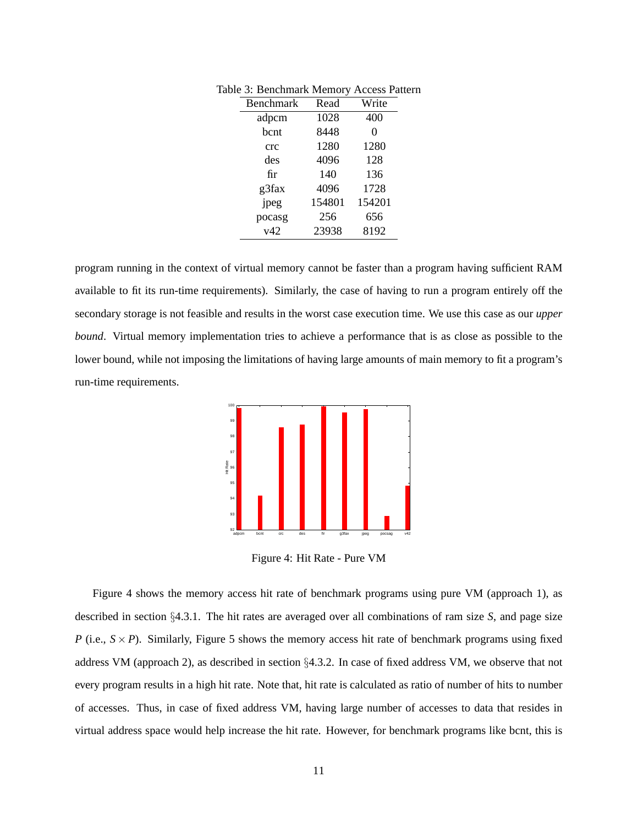| Benchmark | Read   | Write  |
|-----------|--------|--------|
| adpcm     | 1028   | 400    |
| bcnt      | 8448   | 0      |
| crc       | 1280   | 1280   |
| des       | 4096   | 128    |
| fir       | 140    | 136    |
| g3fax     | 4096   | 1728   |
| jpeg      | 154801 | 154201 |
| pocasg    | 256    | 656    |
| v42       | 23938  | 8192   |

Table 3: Benchmark Memory Access Pattern

program running in the context of virtual memory cannot be faster than a program having sufficient RAM available to fit its run-time requirements). Similarly, the case of having to run a program entirely off the secondary storage is not feasible and results in the worst case execution time. We use this case as our *upper bound*. Virtual memory implementation tries to achieve a performance that is as close as possible to the lower bound, while not imposing the limitations of having large amounts of main memory to fit a program's run-time requirements.



Figure 4: Hit Rate - Pure VM

Figure 4 shows the memory access hit rate of benchmark programs using pure VM (approach 1), as described in section §4.3.1. The hit rates are averaged over all combinations of ram size *S*, and page size *P* (i.e.,  $S \times P$ ). Similarly, Figure 5 shows the memory access hit rate of benchmark programs using fixed address VM (approach 2), as described in section §4.3.2. In case of fixed address VM, we observe that not every program results in a high hit rate. Note that, hit rate is calculated as ratio of number of hits to number of accesses. Thus, in case of fixed address VM, having large number of accesses to data that resides in virtual address space would help increase the hit rate. However, for benchmark programs like bcnt, this is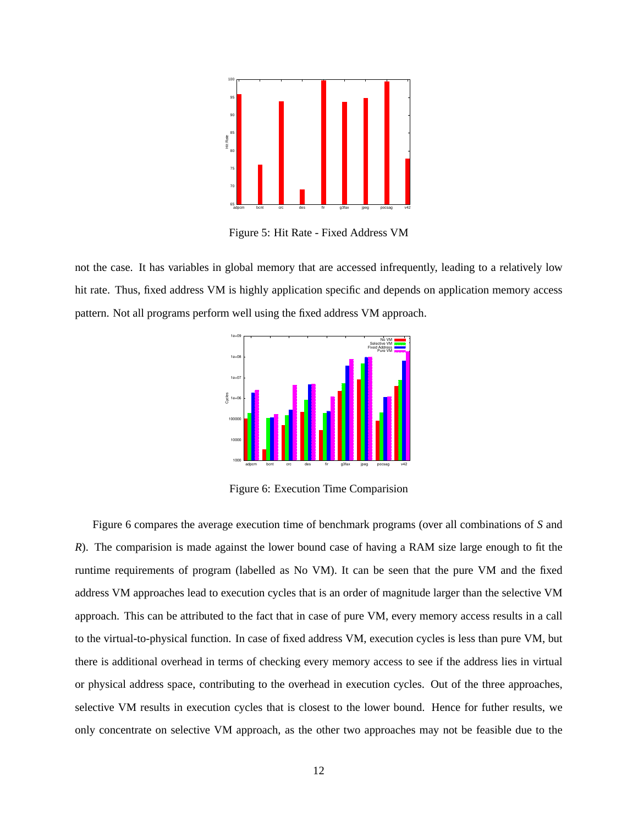

Figure 5: Hit Rate - Fixed Address VM

not the case. It has variables in global memory that are accessed infrequently, leading to a relatively low hit rate. Thus, fixed address VM is highly application specific and depends on application memory access pattern. Not all programs perform well using the fixed address VM approach.



Figure 6: Execution Time Comparision

Figure 6 compares the average execution time of benchmark programs (over all combinations of *S* and *R*). The comparision is made against the lower bound case of having a RAM size large enough to fit the runtime requirements of program (labelled as No VM). It can be seen that the pure VM and the fixed address VM approaches lead to execution cycles that is an order of magnitude larger than the selective VM approach. This can be attributed to the fact that in case of pure VM, every memory access results in a call to the virtual-to-physical function. In case of fixed address VM, execution cycles is less than pure VM, but there is additional overhead in terms of checking every memory access to see if the address lies in virtual or physical address space, contributing to the overhead in execution cycles. Out of the three approaches, selective VM results in execution cycles that is closest to the lower bound. Hence for futher results, we only concentrate on selective VM approach, as the other two approaches may not be feasible due to the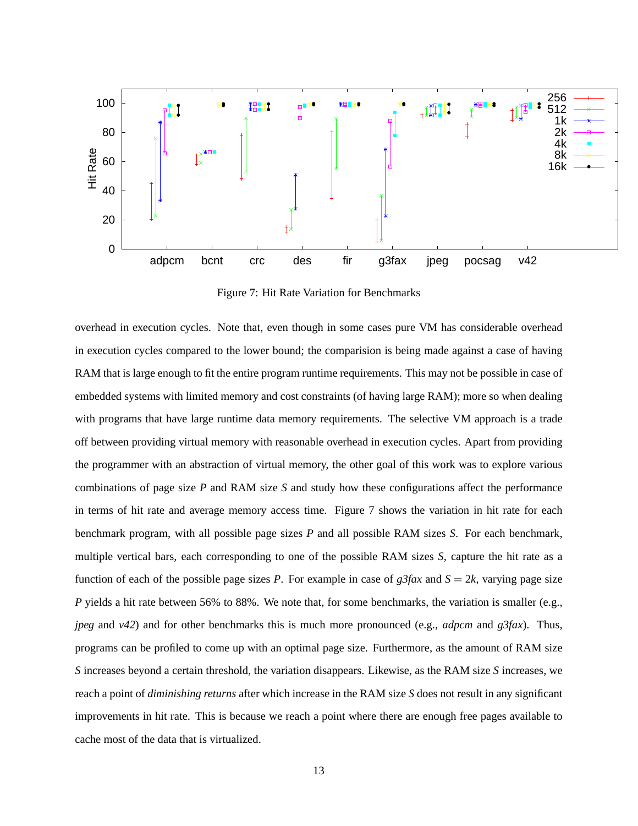

Figure 7: Hit Rate Variation for Benchmarks

overhead in execution cycles. Note that, even though in some cases pure VM has considerable overhead in execution cycles compared to the lower bound; the comparision is being made against a case of having RAM that is large enough to fit the entire program runtime requirements. This may not be possible in case of embedded systems with limited memory and cost constraints (of having large RAM); more so when dealing with programs that have large runtime data memory requirements. The selective VM approach is a trade off between providing virtual memory with reasonable overhead in execution cycles. Apart from providing the programmer with an abstraction of virtual memory, the other goal of this work was to explore various combinations of page size *P* and RAM size *S* and study how these configurations affect the performance in terms of hit rate and average memory access time. Figure 7 shows the variation in hit rate for each benchmark program, with all possible page sizes *P* and all possible RAM sizes *S*. For each benchmark, multiple vertical bars, each corresponding to one of the possible RAM sizes *S*, capture the hit rate as a function of each of the possible page sizes *P*. For example in case of  $g3fax$  and  $S = 2k$ , varying page size *P* yields a hit rate between 56% to 88%. We note that, for some benchmarks, the variation is smaller (e.g., *jpeg* and *v42*) and for other benchmarks this is much more pronounced (e.g., *adpcm* and *g3fax*). Thus, programs can be profiled to come up with an optimal page size. Furthermore, as the amount of RAM size *S* increases beyond a certain threshold, the variation disappears. Likewise, as the RAM size *S* increases, we reach a point of *diminishing returns* after which increase in the RAM size *S* does not result in any significant improvements in hit rate. This is because we reach a point where there are enough free pages available to cache most of the data that is virtualized.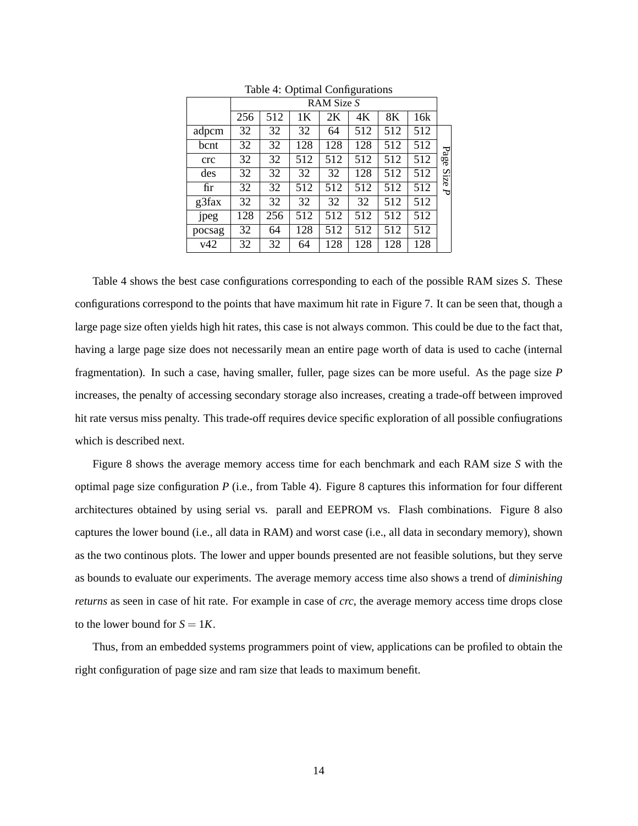|        | RAM Size S |     |     |     |     |     |     |      |
|--------|------------|-----|-----|-----|-----|-----|-----|------|
|        | 256        | 512 | 1Κ  | 2Κ  | 4Κ  | 8К  | 16k |      |
| adpcm  | 32         | 32  | 32  | 64  | 512 | 512 | 512 |      |
| bcnt   | 32         | 32  | 128 | 128 | 128 | 512 | 512 |      |
| crc    | 32         | 32  | 512 | 512 | 512 | 512 | 512 | Page |
| des    | 32         | 32  | 32  | 32  | 128 | 512 | 512 | Size |
| fir    | 32         | 32  | 512 | 512 | 512 | 512 | 512 | ᠊ᡆ   |
| g3fax  | 32         | 32  | 32  | 32  | 32  | 512 | 512 |      |
| jpeg   | 128        | 256 | 512 | 512 | 512 | 512 | 512 |      |
| pocsag | 32         | 64  | 128 | 512 | 512 | 512 | 512 |      |
| v42    | 32         | 32  | 64  | 128 | 128 | 128 | 128 |      |

Table 4: Optimal Configurations

Table 4 shows the best case configurations corresponding to each of the possible RAM sizes *S*. These configurations correspond to the points that have maximum hit rate in Figure 7. It can be seen that, though a large page size often yields high hit rates, this case is not always common. This could be due to the fact that, having a large page size does not necessarily mean an entire page worth of data is used to cache (internal fragmentation). In such a case, having smaller, fuller, page sizes can be more useful. As the page size *P* increases, the penalty of accessing secondary storage also increases, creating a trade-off between improved hit rate versus miss penalty. This trade-off requires device specific exploration of all possible confiugrations which is described next.

Figure 8 shows the average memory access time for each benchmark and each RAM size *S* with the optimal page size configuration *P* (i.e., from Table 4). Figure 8 captures this information for four different architectures obtained by using serial vs. parall and EEPROM vs. Flash combinations. Figure 8 also captures the lower bound (i.e., all data in RAM) and worst case (i.e., all data in secondary memory), shown as the two continous plots. The lower and upper bounds presented are not feasible solutions, but they serve as bounds to evaluate our experiments. The average memory access time also shows a trend of *diminishing returns* as seen in case of hit rate. For example in case of *crc*, the average memory access time drops close to the lower bound for  $S = 1K$ .

Thus, from an embedded systems programmers point of view, applications can be profiled to obtain the right configuration of page size and ram size that leads to maximum benefit.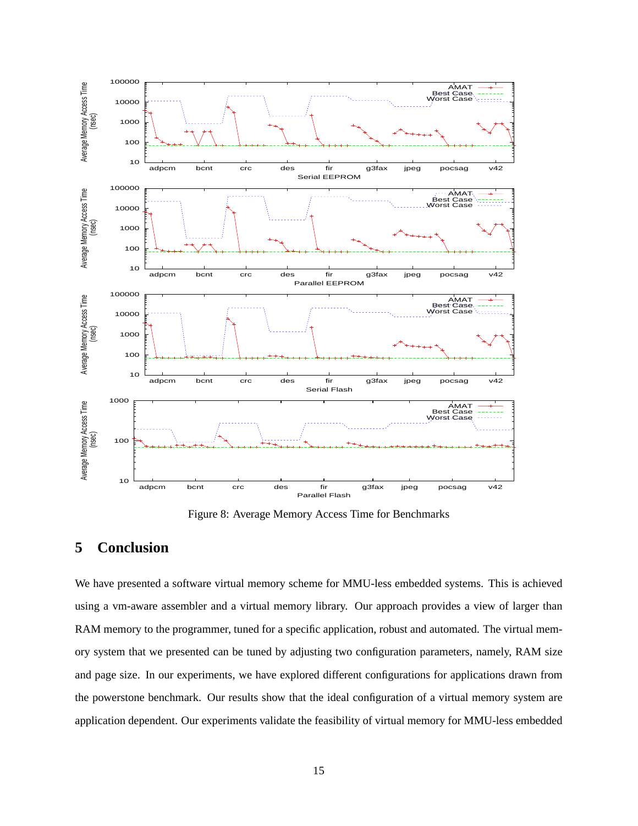

Figure 8: Average Memory Access Time for Benchmarks

## **5 Conclusion**

We have presented a software virtual memory scheme for MMU-less embedded systems. This is achieved using a vm-aware assembler and a virtual memory library. Our approach provides a view of larger than RAM memory to the programmer, tuned for a specific application, robust and automated. The virtual memory system that we presented can be tuned by adjusting two configuration parameters, namely, RAM size and page size. In our experiments, we have explored different configurations for applications drawn from the powerstone benchmark. Our results show that the ideal configuration of a virtual memory system are application dependent. Our experiments validate the feasibility of virtual memory for MMU-less embedded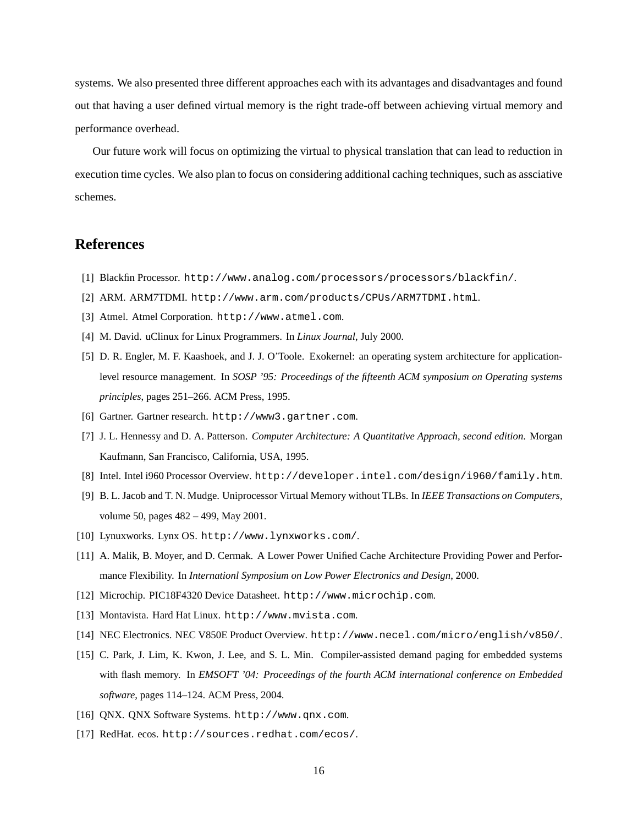systems. We also presented three different approaches each with its advantages and disadvantages and found out that having a user defined virtual memory is the right trade-off between achieving virtual memory and performance overhead.

Our future work will focus on optimizing the virtual to physical translation that can lead to reduction in execution time cycles. We also plan to focus on considering additional caching techniques, such as assciative schemes.

### **References**

- [1] Blackfin Processor. http://www.analog.com/processors/processors/blackfin/.
- [2] ARM. ARM7TDMI. http://www.arm.com/products/CPUs/ARM7TDMI.html.
- [3] Atmel. Atmel Corporation. http://www.atmel.com.
- [4] M. David. uClinux for Linux Programmers. In *Linux Journal*, July 2000.
- [5] D. R. Engler, M. F. Kaashoek, and J. J. O'Toole. Exokernel: an operating system architecture for applicationlevel resource management. In *SOSP '95: Proceedings of the fifteenth ACM symposium on Operating systems principles*, pages 251–266. ACM Press, 1995.
- [6] Gartner. Gartner research. http://www3.gartner.com.
- [7] J. L. Hennessy and D. A. Patterson. *Computer Architecture: A Quantitative Approach, second edition*. Morgan Kaufmann, San Francisco, California, USA, 1995.
- [8] Intel. Intel i960 Processor Overview. http://developer.intel.com/design/i960/family.htm.
- [9] B. L. Jacob and T. N. Mudge. Uniprocessor Virtual Memory without TLBs. In *IEEE Transactions on Computers*, volume 50, pages 482 – 499, May 2001.
- [10] Lynuxworks. Lynx OS. http://www.lynxworks.com/.
- [11] A. Malik, B. Moyer, and D. Cermak. A Lower Power Unified Cache Architecture Providing Power and Performance Flexibility. In *Internationl Symposium on Low Power Electronics and Design*, 2000.
- [12] Microchip. PIC18F4320 Device Datasheet. http://www.microchip.com.
- [13] Montavista. Hard Hat Linux. http://www.mvista.com.
- [14] NEC Electronics. NEC V850E Product Overview. http://www.necel.com/micro/english/v850/.
- [15] C. Park, J. Lim, K. Kwon, J. Lee, and S. L. Min. Compiler-assisted demand paging for embedded systems with flash memory. In *EMSOFT '04: Proceedings of the fourth ACM international conference on Embedded software*, pages 114–124. ACM Press, 2004.
- [16] QNX. QNX Software Systems. http://www.qnx.com.
- [17] RedHat. ecos. http://sources.redhat.com/ecos/.